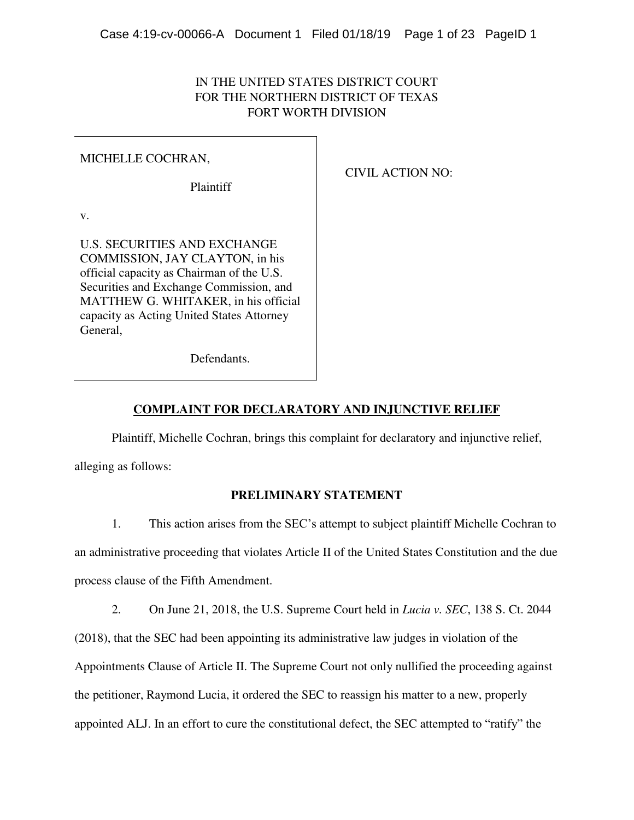# IN THE UNITED STATES DISTRICT COURT FOR THE NORTHERN DISTRICT OF TEXAS FORT WORTH DIVISION

## MICHELLE COCHRAN,

Plaintiff

CIVIL ACTION NO:

v.

U.S. SECURITIES AND EXCHANGE COMMISSION, JAY CLAYTON, in his official capacity as Chairman of the U.S. Securities and Exchange Commission, and MATTHEW G. WHITAKER, in his official capacity as Acting United States Attorney General,

Defendants.

# **COMPLAINT FOR DECLARATORY AND INJUNCTIVE RELIEF**

Plaintiff, Michelle Cochran, brings this complaint for declaratory and injunctive relief,

alleging as follows:

# **PRELIMINARY STATEMENT**

1. This action arises from the SEC's attempt to subject plaintiff Michelle Cochran to an administrative proceeding that violates Article II of the United States Constitution and the due process clause of the Fifth Amendment.

2. On June 21, 2018, the U.S. Supreme Court held in *Lucia v. SEC*, 138 S. Ct. 2044

(2018), that the SEC had been appointing its administrative law judges in violation of the Appointments Clause of Article II. The Supreme Court not only nullified the proceeding against the petitioner, Raymond Lucia, it ordered the SEC to reassign his matter to a new, properly appointed ALJ. In an effort to cure the constitutional defect, the SEC attempted to "ratify" the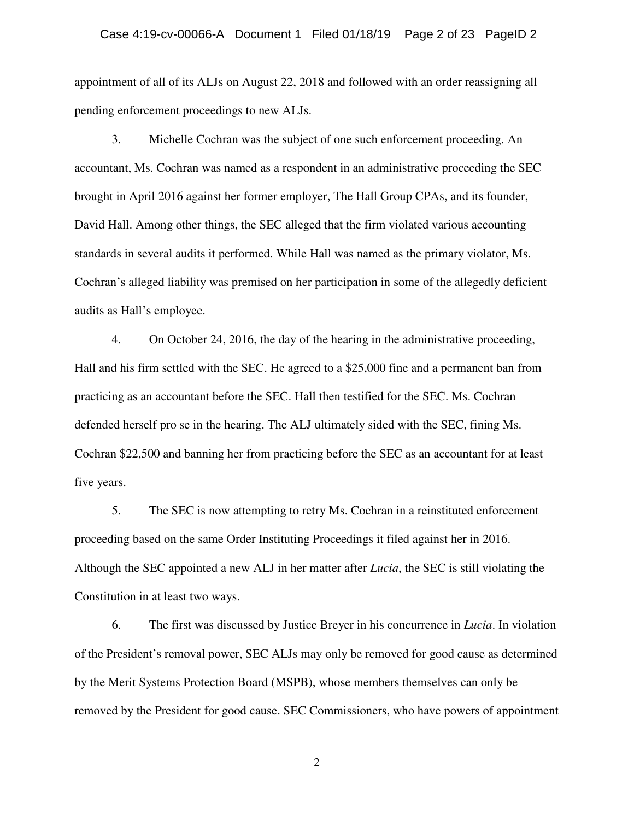appointment of all of its ALJs on August 22, 2018 and followed with an order reassigning all pending enforcement proceedings to new ALJs.

3. Michelle Cochran was the subject of one such enforcement proceeding. An accountant, Ms. Cochran was named as a respondent in an administrative proceeding the SEC brought in April 2016 against her former employer, The Hall Group CPAs, and its founder, David Hall. Among other things, the SEC alleged that the firm violated various accounting standards in several audits it performed. While Hall was named as the primary violator, Ms. Cochran's alleged liability was premised on her participation in some of the allegedly deficient audits as Hall's employee.

4. On October 24, 2016, the day of the hearing in the administrative proceeding, Hall and his firm settled with the SEC. He agreed to a \$25,000 fine and a permanent ban from practicing as an accountant before the SEC. Hall then testified for the SEC. Ms. Cochran defended herself pro se in the hearing. The ALJ ultimately sided with the SEC, fining Ms. Cochran \$22,500 and banning her from practicing before the SEC as an accountant for at least five years.

5. The SEC is now attempting to retry Ms. Cochran in a reinstituted enforcement proceeding based on the same Order Instituting Proceedings it filed against her in 2016. Although the SEC appointed a new ALJ in her matter after *Lucia*, the SEC is still violating the Constitution in at least two ways.

6. The first was discussed by Justice Breyer in his concurrence in *Lucia*. In violation of the President's removal power, SEC ALJs may only be removed for good cause as determined by the Merit Systems Protection Board (MSPB), whose members themselves can only be removed by the President for good cause. SEC Commissioners, who have powers of appointment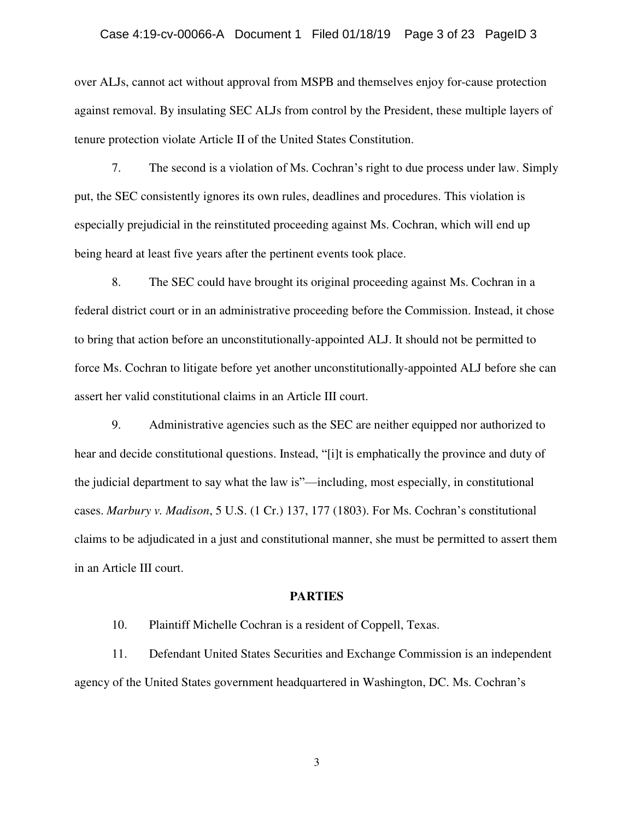### Case 4:19-cv-00066-A Document 1 Filed 01/18/19 Page 3 of 23 PageID 3

over ALJs, cannot act without approval from MSPB and themselves enjoy for-cause protection against removal. By insulating SEC ALJs from control by the President, these multiple layers of tenure protection violate Article II of the United States Constitution.

7. The second is a violation of Ms. Cochran's right to due process under law. Simply put, the SEC consistently ignores its own rules, deadlines and procedures. This violation is especially prejudicial in the reinstituted proceeding against Ms. Cochran, which will end up being heard at least five years after the pertinent events took place.

8. The SEC could have brought its original proceeding against Ms. Cochran in a federal district court or in an administrative proceeding before the Commission. Instead, it chose to bring that action before an unconstitutionally-appointed ALJ. It should not be permitted to force Ms. Cochran to litigate before yet another unconstitutionally-appointed ALJ before she can assert her valid constitutional claims in an Article III court.

9. Administrative agencies such as the SEC are neither equipped nor authorized to hear and decide constitutional questions. Instead, "[i]t is emphatically the province and duty of the judicial department to say what the law is"—including, most especially, in constitutional cases. *Marbury v. Madison*, 5 U.S. (1 Cr.) 137, 177 (1803). For Ms. Cochran's constitutional claims to be adjudicated in a just and constitutional manner, she must be permitted to assert them in an Article III court.

#### **PARTIES**

10. Plaintiff Michelle Cochran is a resident of Coppell, Texas.

11. Defendant United States Securities and Exchange Commission is an independent agency of the United States government headquartered in Washington, DC. Ms. Cochran's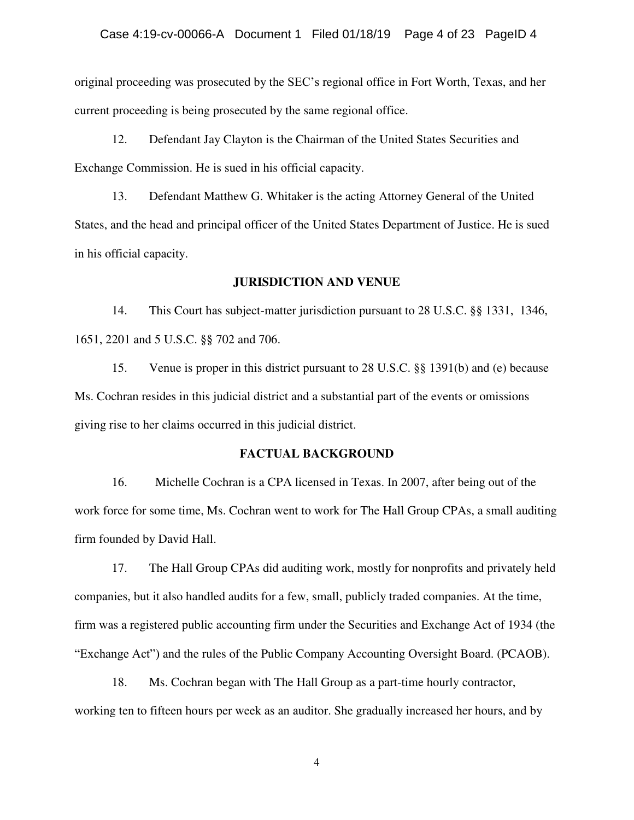original proceeding was prosecuted by the SEC's regional office in Fort Worth, Texas, and her current proceeding is being prosecuted by the same regional office.

12. Defendant Jay Clayton is the Chairman of the United States Securities and Exchange Commission. He is sued in his official capacity.

13. Defendant Matthew G. Whitaker is the acting Attorney General of the United States, and the head and principal officer of the United States Department of Justice. He is sued in his official capacity.

#### **JURISDICTION AND VENUE**

14. This Court has subject-matter jurisdiction pursuant to 28 U.S.C. §§ 1331, 1346, 1651, 2201 and 5 U.S.C. §§ 702 and 706.

15. Venue is proper in this district pursuant to 28 U.S.C. §§ 1391(b) and (e) because Ms. Cochran resides in this judicial district and a substantial part of the events or omissions giving rise to her claims occurred in this judicial district.

### **FACTUAL BACKGROUND**

16. Michelle Cochran is a CPA licensed in Texas. In 2007, after being out of the work force for some time, Ms. Cochran went to work for The Hall Group CPAs, a small auditing firm founded by David Hall.

17. The Hall Group CPAs did auditing work, mostly for nonprofits and privately held companies, but it also handled audits for a few, small, publicly traded companies. At the time, firm was a registered public accounting firm under the Securities and Exchange Act of 1934 (the "Exchange Act") and the rules of the Public Company Accounting Oversight Board. (PCAOB).

18. Ms. Cochran began with The Hall Group as a part-time hourly contractor, working ten to fifteen hours per week as an auditor. She gradually increased her hours, and by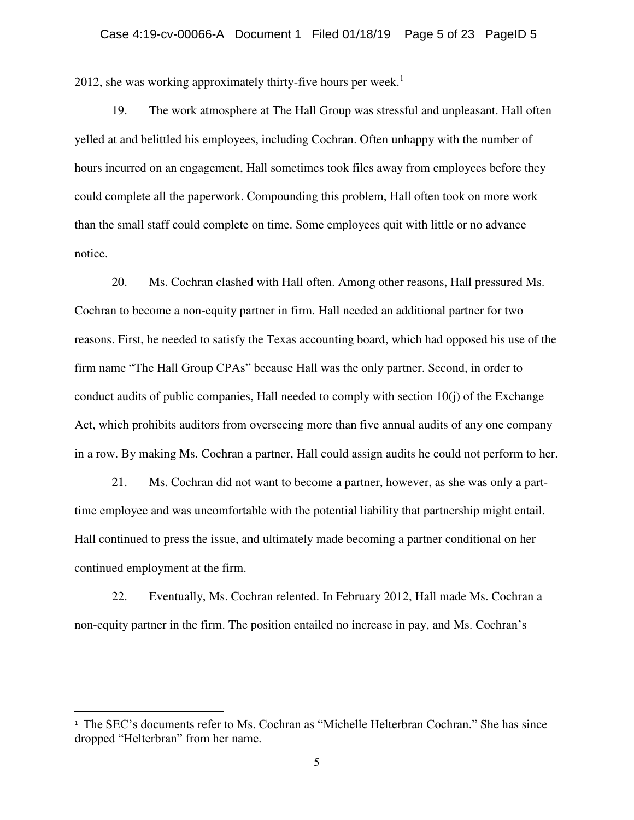2012, she was working approximately thirty-five hours per week.<sup>1</sup>

19. The work atmosphere at The Hall Group was stressful and unpleasant. Hall often yelled at and belittled his employees, including Cochran. Often unhappy with the number of hours incurred on an engagement, Hall sometimes took files away from employees before they could complete all the paperwork. Compounding this problem, Hall often took on more work than the small staff could complete on time. Some employees quit with little or no advance notice.

20. Ms. Cochran clashed with Hall often. Among other reasons, Hall pressured Ms. Cochran to become a non-equity partner in firm. Hall needed an additional partner for two reasons. First, he needed to satisfy the Texas accounting board, which had opposed his use of the firm name "The Hall Group CPAs" because Hall was the only partner. Second, in order to conduct audits of public companies, Hall needed to comply with section  $10(i)$  of the Exchange Act, which prohibits auditors from overseeing more than five annual audits of any one company in a row. By making Ms. Cochran a partner, Hall could assign audits he could not perform to her.

21. Ms. Cochran did not want to become a partner, however, as she was only a parttime employee and was uncomfortable with the potential liability that partnership might entail. Hall continued to press the issue, and ultimately made becoming a partner conditional on her continued employment at the firm.

22. Eventually, Ms. Cochran relented. In February 2012, Hall made Ms. Cochran a non-equity partner in the firm. The position entailed no increase in pay, and Ms. Cochran's

 $\overline{a}$ 

<sup>1</sup> The SEC's documents refer to Ms. Cochran as "Michelle Helterbran Cochran." She has since dropped "Helterbran" from her name.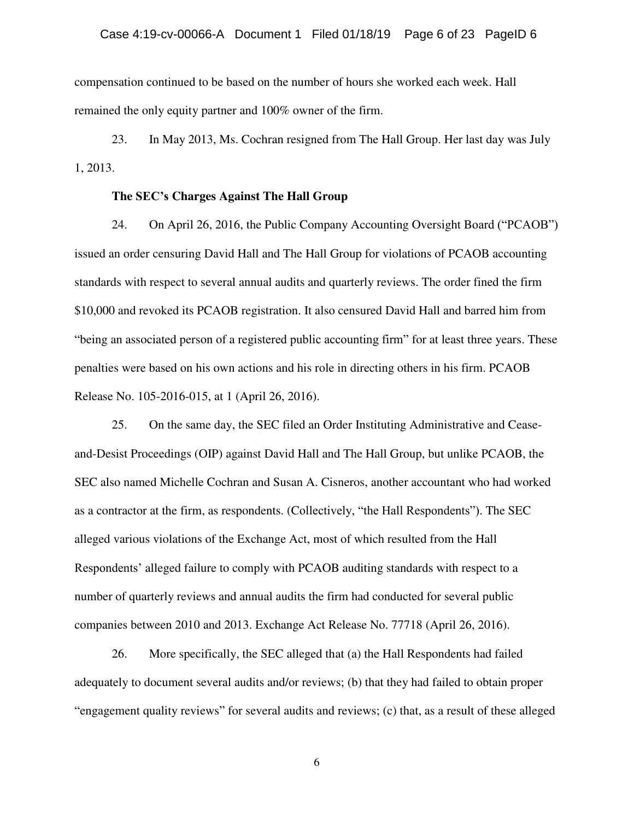compensation continued to be based on the number of hours she worked each week. Hall remained the only equity partner and 100% owner of the firm.

23. In May 2013, Ms. Cochran resigned from The Hall Group. Her last day was July 1, 2013.

#### **The SEC's Charges Against The Hall Group**

24. On April 26, 2016, the Public Company Accounting Oversight Board ("PCAOB") issued an order censuring David Hall and The Hall Group for violations of PCAOB accounting standards with respect to several annual audits and quarterly reviews. The order fined the firm \$10,000 and revoked its PCAOB registration. It also censured David Hall and barred him from "being an associated person of a registered public accounting firm" for at least three years. These penalties were based on his own actions and his role in directing others in his firm. PCAOB Release No. 105-2016-015, at 1 (April 26, 2016).

25. On the same day, the SEC filed an Order Instituting Administrative and Ceaseand-Desist Proceedings (OIP) against David Hall and The Hall Group, but unlike PCAOB, the SEC also named Michelle Cochran and Susan A. Cisneros, another accountant who had worked as a contractor at the firm, as respondents. (Collectively, "the Hall Respondents"). The SEC alleged various violations of the Exchange Act, most of which resulted from the Hall Respondents' alleged failure to comply with PCAOB auditing standards with respect to a number of quarterly reviews and annual audits the firm had conducted for several public companies between 2010 and 2013. Exchange Act Release No. 77718 (April 26, 2016).

26. More specifically, the SEC alleged that (a) the Hall Respondents had failed adequately to document several audits and/or reviews; (b) that they had failed to obtain proper "engagement quality reviews" for several audits and reviews; (c) that, as a result of these alleged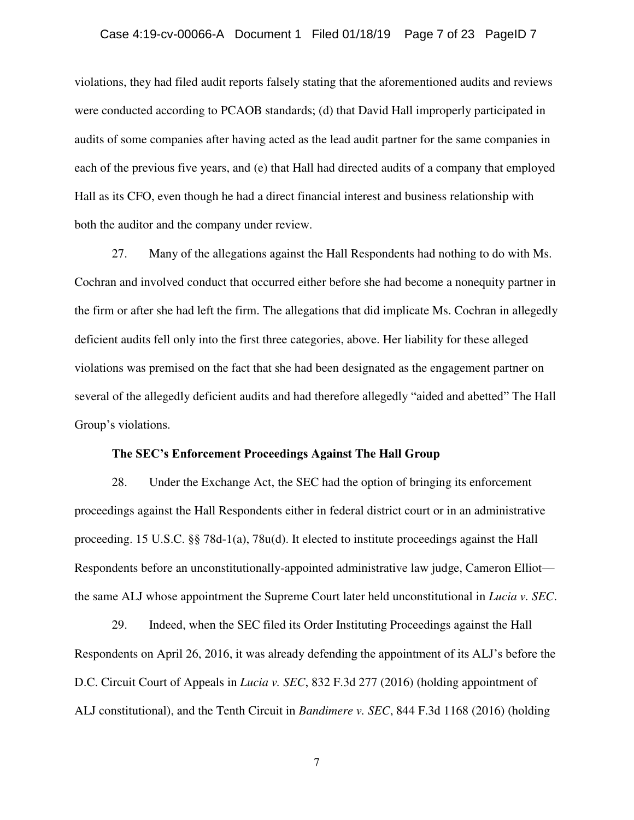### Case 4:19-cv-00066-A Document 1 Filed 01/18/19 Page 7 of 23 PageID 7

violations, they had filed audit reports falsely stating that the aforementioned audits and reviews were conducted according to PCAOB standards; (d) that David Hall improperly participated in audits of some companies after having acted as the lead audit partner for the same companies in each of the previous five years, and (e) that Hall had directed audits of a company that employed Hall as its CFO, even though he had a direct financial interest and business relationship with both the auditor and the company under review.

27. Many of the allegations against the Hall Respondents had nothing to do with Ms. Cochran and involved conduct that occurred either before she had become a nonequity partner in the firm or after she had left the firm. The allegations that did implicate Ms. Cochran in allegedly deficient audits fell only into the first three categories, above. Her liability for these alleged violations was premised on the fact that she had been designated as the engagement partner on several of the allegedly deficient audits and had therefore allegedly "aided and abetted" The Hall Group's violations.

#### **The SEC's Enforcement Proceedings Against The Hall Group**

28. Under the Exchange Act, the SEC had the option of bringing its enforcement proceedings against the Hall Respondents either in federal district court or in an administrative proceeding. 15 U.S.C. §§ 78d-1(a), 78u(d). It elected to institute proceedings against the Hall Respondents before an unconstitutionally-appointed administrative law judge, Cameron Elliot the same ALJ whose appointment the Supreme Court later held unconstitutional in *Lucia v. SEC*.

29. Indeed, when the SEC filed its Order Instituting Proceedings against the Hall Respondents on April 26, 2016, it was already defending the appointment of its ALJ's before the D.C. Circuit Court of Appeals in *Lucia v. SEC*, 832 F.3d 277 (2016) (holding appointment of ALJ constitutional), and the Tenth Circuit in *Bandimere v. SEC*, 844 F.3d 1168 (2016) (holding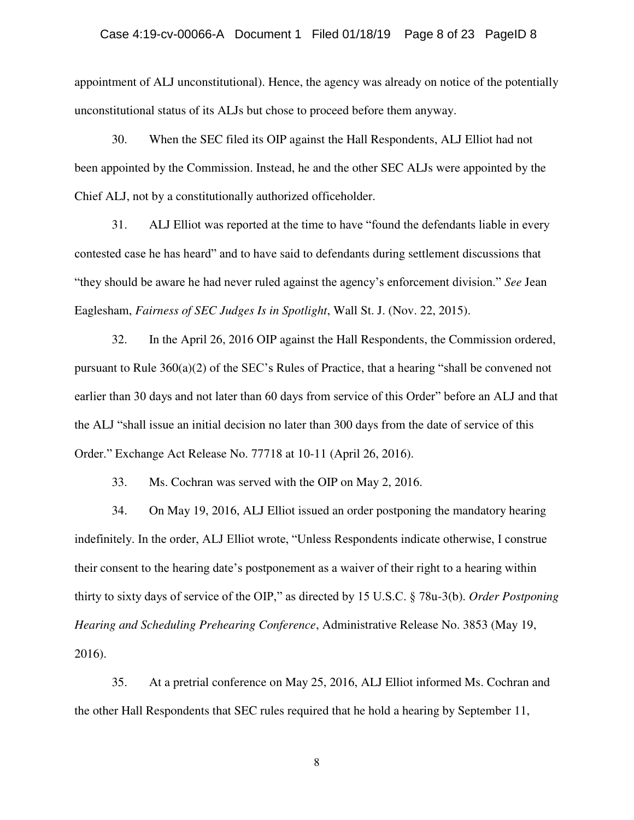### Case 4:19-cv-00066-A Document 1 Filed 01/18/19 Page 8 of 23 PageID 8

appointment of ALJ unconstitutional). Hence, the agency was already on notice of the potentially unconstitutional status of its ALJs but chose to proceed before them anyway.

30. When the SEC filed its OIP against the Hall Respondents, ALJ Elliot had not been appointed by the Commission. Instead, he and the other SEC ALJs were appointed by the Chief ALJ, not by a constitutionally authorized officeholder.

31. ALJ Elliot was reported at the time to have "found the defendants liable in every contested case he has heard" and to have said to defendants during settlement discussions that "they should be aware he had never ruled against the agency's enforcement division." *See* Jean Eaglesham, *Fairness of SEC Judges Is in Spotlight*, Wall St. J. (Nov. 22, 2015).

32. In the April 26, 2016 OIP against the Hall Respondents, the Commission ordered, pursuant to Rule 360(a)(2) of the SEC's Rules of Practice, that a hearing "shall be convened not earlier than 30 days and not later than 60 days from service of this Order" before an ALJ and that the ALJ "shall issue an initial decision no later than 300 days from the date of service of this Order." Exchange Act Release No. 77718 at 10-11 (April 26, 2016).

33. Ms. Cochran was served with the OIP on May 2, 2016.

34. On May 19, 2016, ALJ Elliot issued an order postponing the mandatory hearing indefinitely. In the order, ALJ Elliot wrote, "Unless Respondents indicate otherwise, I construe their consent to the hearing date's postponement as a waiver of their right to a hearing within thirty to sixty days of service of the OIP," as directed by 15 U.S.C. § 78u-3(b). *Order Postponing Hearing and Scheduling Prehearing Conference*, Administrative Release No. 3853 (May 19, 2016).

35. At a pretrial conference on May 25, 2016, ALJ Elliot informed Ms. Cochran and the other Hall Respondents that SEC rules required that he hold a hearing by September 11,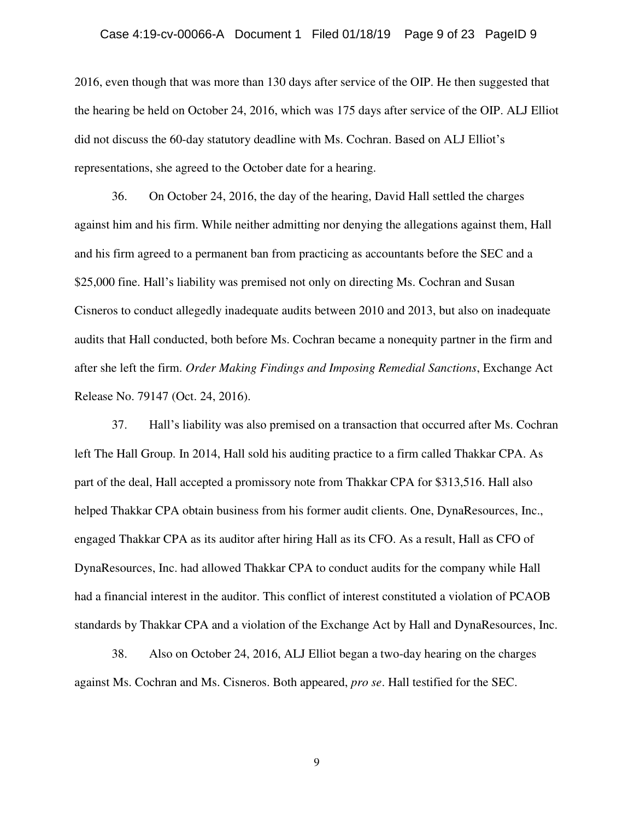### Case 4:19-cv-00066-A Document 1 Filed 01/18/19 Page 9 of 23 PageID 9

2016, even though that was more than 130 days after service of the OIP. He then suggested that the hearing be held on October 24, 2016, which was 175 days after service of the OIP. ALJ Elliot did not discuss the 60-day statutory deadline with Ms. Cochran. Based on ALJ Elliot's representations, she agreed to the October date for a hearing.

36. On October 24, 2016, the day of the hearing, David Hall settled the charges against him and his firm. While neither admitting nor denying the allegations against them, Hall and his firm agreed to a permanent ban from practicing as accountants before the SEC and a \$25,000 fine. Hall's liability was premised not only on directing Ms. Cochran and Susan Cisneros to conduct allegedly inadequate audits between 2010 and 2013, but also on inadequate audits that Hall conducted, both before Ms. Cochran became a nonequity partner in the firm and after she left the firm. *Order Making Findings and Imposing Remedial Sanctions*, Exchange Act Release No. 79147 (Oct. 24, 2016).

37. Hall's liability was also premised on a transaction that occurred after Ms. Cochran left The Hall Group. In 2014, Hall sold his auditing practice to a firm called Thakkar CPA. As part of the deal, Hall accepted a promissory note from Thakkar CPA for \$313,516. Hall also helped Thakkar CPA obtain business from his former audit clients. One, DynaResources, Inc., engaged Thakkar CPA as its auditor after hiring Hall as its CFO. As a result, Hall as CFO of DynaResources, Inc. had allowed Thakkar CPA to conduct audits for the company while Hall had a financial interest in the auditor. This conflict of interest constituted a violation of PCAOB standards by Thakkar CPA and a violation of the Exchange Act by Hall and DynaResources, Inc.

38. Also on October 24, 2016, ALJ Elliot began a two-day hearing on the charges against Ms. Cochran and Ms. Cisneros. Both appeared, *pro se*. Hall testified for the SEC.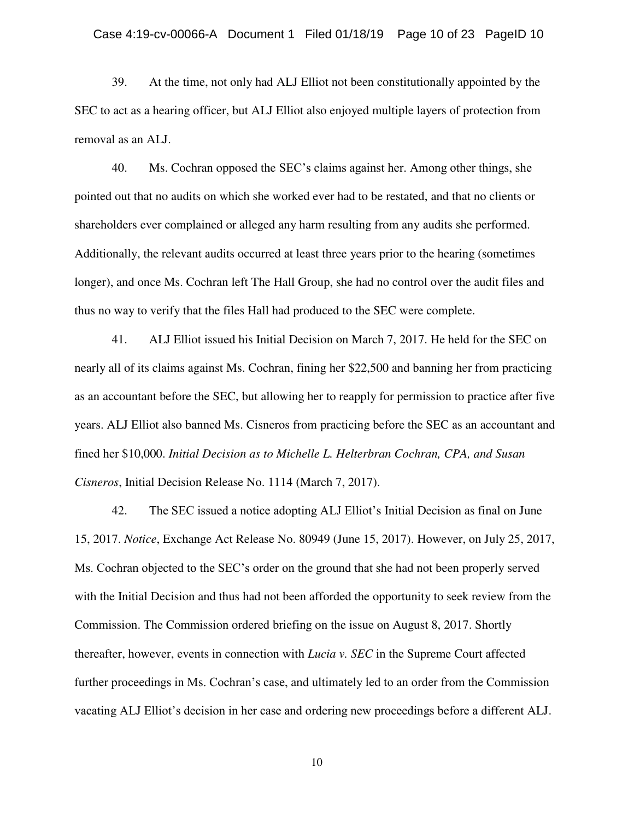39. At the time, not only had ALJ Elliot not been constitutionally appointed by the SEC to act as a hearing officer, but ALJ Elliot also enjoyed multiple layers of protection from removal as an ALJ.

40. Ms. Cochran opposed the SEC's claims against her. Among other things, she pointed out that no audits on which she worked ever had to be restated, and that no clients or shareholders ever complained or alleged any harm resulting from any audits she performed. Additionally, the relevant audits occurred at least three years prior to the hearing (sometimes longer), and once Ms. Cochran left The Hall Group, she had no control over the audit files and thus no way to verify that the files Hall had produced to the SEC were complete.

41. ALJ Elliot issued his Initial Decision on March 7, 2017. He held for the SEC on nearly all of its claims against Ms. Cochran, fining her \$22,500 and banning her from practicing as an accountant before the SEC, but allowing her to reapply for permission to practice after five years. ALJ Elliot also banned Ms. Cisneros from practicing before the SEC as an accountant and fined her \$10,000. *Initial Decision as to Michelle L. Helterbran Cochran, CPA, and Susan Cisneros*, Initial Decision Release No. 1114 (March 7, 2017).

42. The SEC issued a notice adopting ALJ Elliot's Initial Decision as final on June 15, 2017. *Notice*, Exchange Act Release No. 80949 (June 15, 2017). However, on July 25, 2017, Ms. Cochran objected to the SEC's order on the ground that she had not been properly served with the Initial Decision and thus had not been afforded the opportunity to seek review from the Commission. The Commission ordered briefing on the issue on August 8, 2017. Shortly thereafter, however, events in connection with *Lucia v. SEC* in the Supreme Court affected further proceedings in Ms. Cochran's case, and ultimately led to an order from the Commission vacating ALJ Elliot's decision in her case and ordering new proceedings before a different ALJ.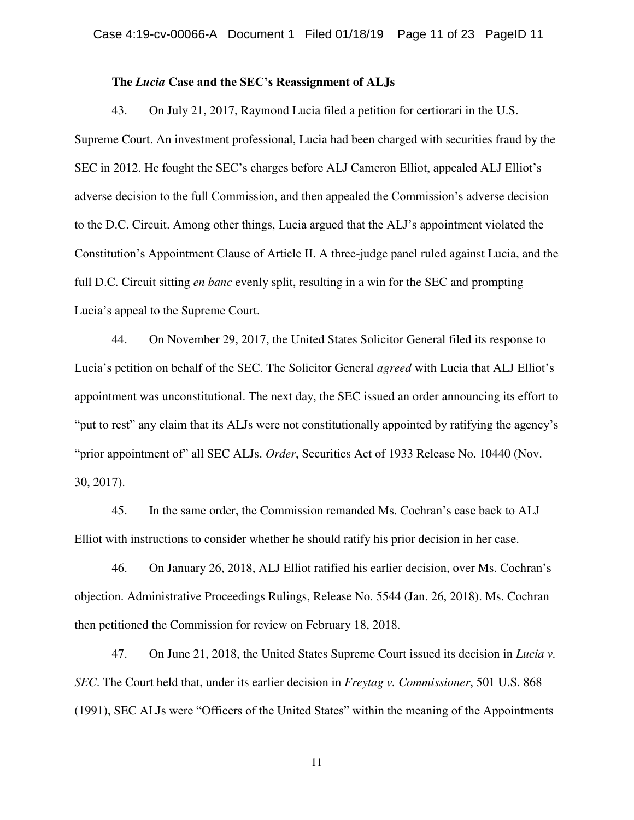### **The** *Lucia* **Case and the SEC's Reassignment of ALJs**

43. On July 21, 2017, Raymond Lucia filed a petition for certiorari in the U.S. Supreme Court. An investment professional, Lucia had been charged with securities fraud by the SEC in 2012. He fought the SEC's charges before ALJ Cameron Elliot, appealed ALJ Elliot's adverse decision to the full Commission, and then appealed the Commission's adverse decision to the D.C. Circuit. Among other things, Lucia argued that the ALJ's appointment violated the Constitution's Appointment Clause of Article II. A three-judge panel ruled against Lucia, and the full D.C. Circuit sitting *en banc* evenly split, resulting in a win for the SEC and prompting Lucia's appeal to the Supreme Court.

44. On November 29, 2017, the United States Solicitor General filed its response to Lucia's petition on behalf of the SEC. The Solicitor General *agreed* with Lucia that ALJ Elliot's appointment was unconstitutional. The next day, the SEC issued an order announcing its effort to "put to rest" any claim that its ALJs were not constitutionally appointed by ratifying the agency's "prior appointment of" all SEC ALJs. *Order*, Securities Act of 1933 Release No. 10440 (Nov. 30, 2017).

45. In the same order, the Commission remanded Ms. Cochran's case back to ALJ Elliot with instructions to consider whether he should ratify his prior decision in her case.

46. On January 26, 2018, ALJ Elliot ratified his earlier decision, over Ms. Cochran's objection. Administrative Proceedings Rulings, Release No. 5544 (Jan. 26, 2018). Ms. Cochran then petitioned the Commission for review on February 18, 2018.

47. On June 21, 2018, the United States Supreme Court issued its decision in *Lucia v. SEC*. The Court held that, under its earlier decision in *Freytag v. Commissioner*, 501 U.S. 868 (1991), SEC ALJs were "Officers of the United States" within the meaning of the Appointments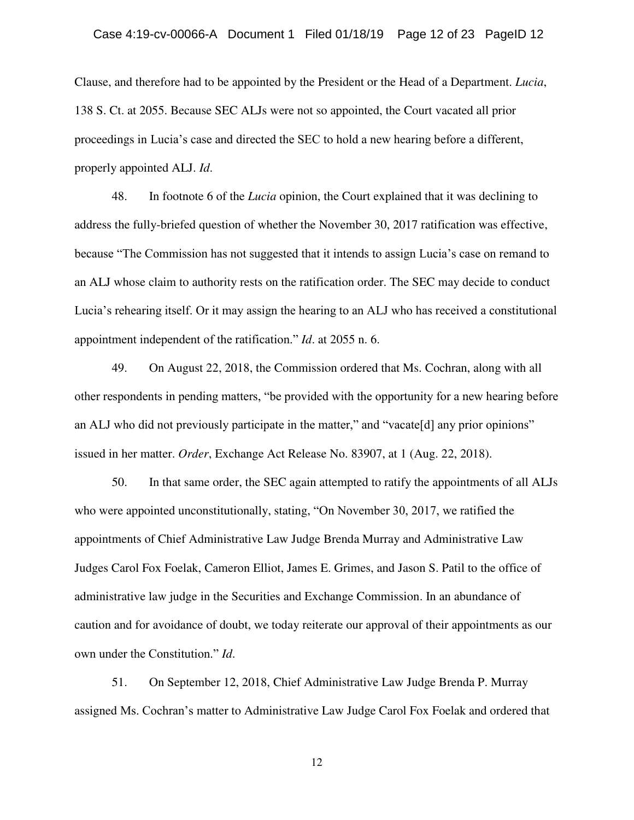Clause, and therefore had to be appointed by the President or the Head of a Department. *Lucia*, 138 S. Ct. at 2055. Because SEC ALJs were not so appointed, the Court vacated all prior proceedings in Lucia's case and directed the SEC to hold a new hearing before a different, properly appointed ALJ. *Id*.

48. In footnote 6 of the *Lucia* opinion, the Court explained that it was declining to address the fully-briefed question of whether the November 30, 2017 ratification was effective, because "The Commission has not suggested that it intends to assign Lucia's case on remand to an ALJ whose claim to authority rests on the ratification order. The SEC may decide to conduct Lucia's rehearing itself. Or it may assign the hearing to an ALJ who has received a constitutional appointment independent of the ratification." *Id*. at 2055 n. 6.

49. On August 22, 2018, the Commission ordered that Ms. Cochran, along with all other respondents in pending matters, "be provided with the opportunity for a new hearing before an ALJ who did not previously participate in the matter," and "vacate[d] any prior opinions" issued in her matter. *Order*, Exchange Act Release No. 83907, at 1 (Aug. 22, 2018).

50. In that same order, the SEC again attempted to ratify the appointments of all ALJs who were appointed unconstitutionally, stating, "On November 30, 2017, we ratified the appointments of Chief Administrative Law Judge Brenda Murray and Administrative Law Judges Carol Fox Foelak, Cameron Elliot, James E. Grimes, and Jason S. Patil to the office of administrative law judge in the Securities and Exchange Commission. In an abundance of caution and for avoidance of doubt, we today reiterate our approval of their appointments as our own under the Constitution." *Id*.

51. On September 12, 2018, Chief Administrative Law Judge Brenda P. Murray assigned Ms. Cochran's matter to Administrative Law Judge Carol Fox Foelak and ordered that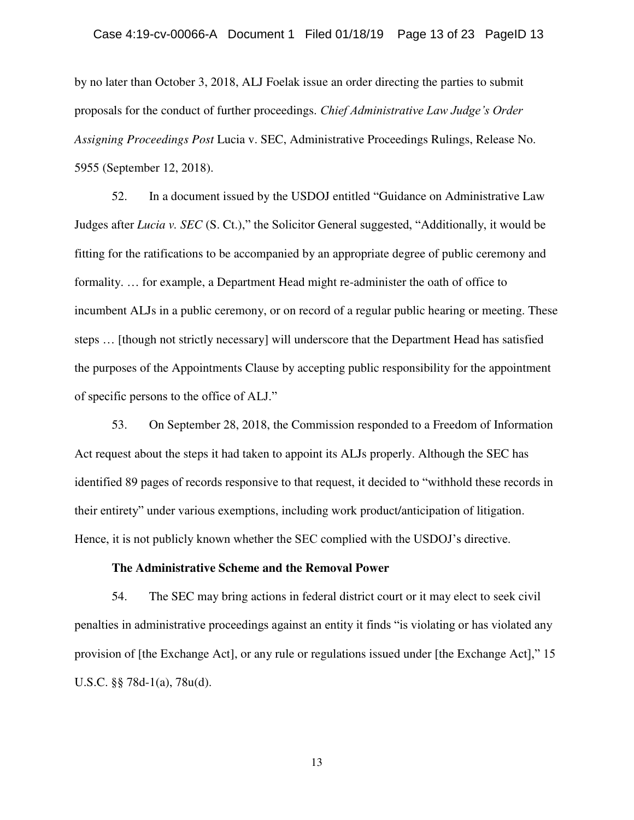by no later than October 3, 2018, ALJ Foelak issue an order directing the parties to submit proposals for the conduct of further proceedings. *Chief Administrative Law Judge's Order Assigning Proceedings Post* Lucia v. SEC, Administrative Proceedings Rulings, Release No. 5955 (September 12, 2018).

52. In a document issued by the USDOJ entitled "Guidance on Administrative Law Judges after *Lucia v. SEC* (S. Ct.)," the Solicitor General suggested, "Additionally, it would be fitting for the ratifications to be accompanied by an appropriate degree of public ceremony and formality. … for example, a Department Head might re-administer the oath of office to incumbent ALJs in a public ceremony, or on record of a regular public hearing or meeting. These steps … [though not strictly necessary] will underscore that the Department Head has satisfied the purposes of the Appointments Clause by accepting public responsibility for the appointment of specific persons to the office of ALJ."

53. On September 28, 2018, the Commission responded to a Freedom of Information Act request about the steps it had taken to appoint its ALJs properly. Although the SEC has identified 89 pages of records responsive to that request, it decided to "withhold these records in their entirety" under various exemptions, including work product/anticipation of litigation. Hence, it is not publicly known whether the SEC complied with the USDOJ's directive.

#### **The Administrative Scheme and the Removal Power**

54. The SEC may bring actions in federal district court or it may elect to seek civil penalties in administrative proceedings against an entity it finds "is violating or has violated any provision of [the Exchange Act], or any rule or regulations issued under [the Exchange Act]," 15 U.S.C. §§ 78d-1(a), 78u(d).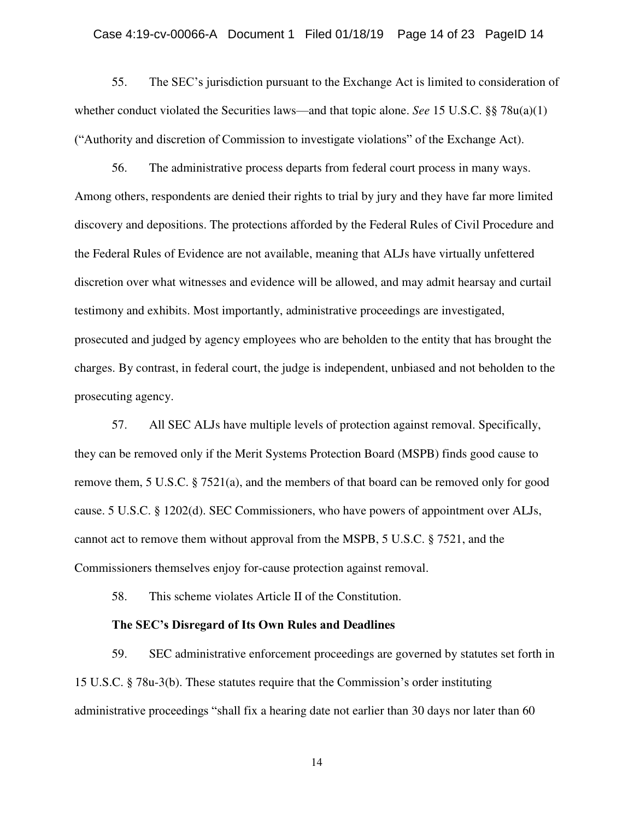### Case 4:19-cv-00066-A Document 1 Filed 01/18/19 Page 14 of 23 PageID 14

55. The SEC's jurisdiction pursuant to the Exchange Act is limited to consideration of whether conduct violated the Securities laws—and that topic alone. *See* 15 U.S.C. §§ 78u(a)(1) ("Authority and discretion of Commission to investigate violations" of the Exchange Act).

56. The administrative process departs from federal court process in many ways. Among others, respondents are denied their rights to trial by jury and they have far more limited discovery and depositions. The protections afforded by the Federal Rules of Civil Procedure and the Federal Rules of Evidence are not available, meaning that ALJs have virtually unfettered discretion over what witnesses and evidence will be allowed, and may admit hearsay and curtail testimony and exhibits. Most importantly, administrative proceedings are investigated, prosecuted and judged by agency employees who are beholden to the entity that has brought the charges. By contrast, in federal court, the judge is independent, unbiased and not beholden to the prosecuting agency.

57. All SEC ALJs have multiple levels of protection against removal. Specifically, they can be removed only if the Merit Systems Protection Board (MSPB) finds good cause to remove them, 5 U.S.C. § 7521(a), and the members of that board can be removed only for good cause. 5 U.S.C. § 1202(d). SEC Commissioners, who have powers of appointment over ALJs, cannot act to remove them without approval from the MSPB, 5 U.S.C. § 7521, and the Commissioners themselves enjoy for-cause protection against removal.

58. This scheme violates Article II of the Constitution.

#### **The SEC's Disregard of Its Own Rules and Deadlines**

59. SEC administrative enforcement proceedings are governed by statutes set forth in 15 U.S.C. § 78u-3(b). These statutes require that the Commission's order instituting administrative proceedings "shall fix a hearing date not earlier than 30 days nor later than 60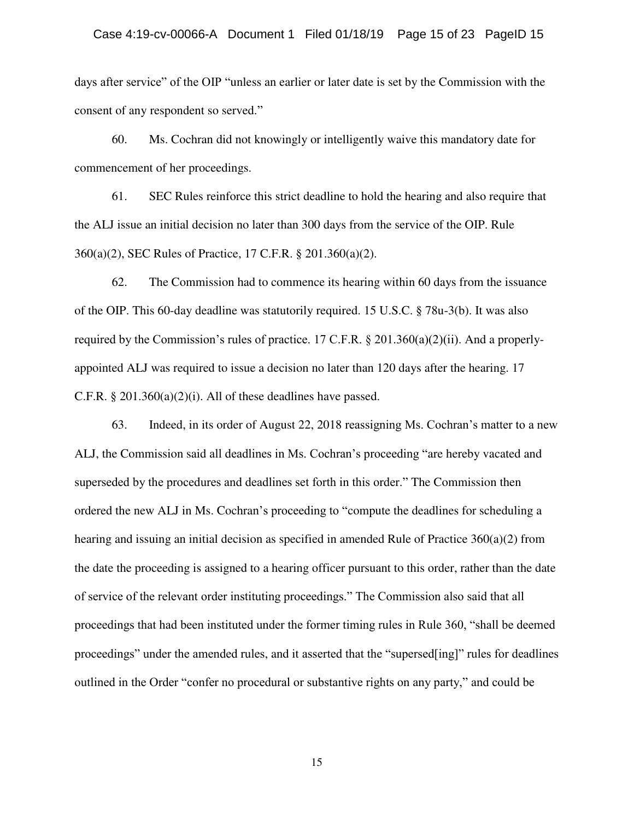days after service" of the OIP "unless an earlier or later date is set by the Commission with the consent of any respondent so served."

60. Ms. Cochran did not knowingly or intelligently waive this mandatory date for commencement of her proceedings.

61. SEC Rules reinforce this strict deadline to hold the hearing and also require that the ALJ issue an initial decision no later than 300 days from the service of the OIP. Rule 360(a)(2), SEC Rules of Practice, 17 C.F.R. § 201.360(a)(2).

62. The Commission had to commence its hearing within 60 days from the issuance of the OIP. This 60-day deadline was statutorily required. 15 U.S.C. § 78u-3(b). It was also required by the Commission's rules of practice. 17 C.F.R. § 201.360(a)(2)(ii). And a properlyappointed ALJ was required to issue a decision no later than 120 days after the hearing. 17 C.F.R.  $\S 201.360(a)(2)(i)$ . All of these deadlines have passed.

63. Indeed, in its order of August 22, 2018 reassigning Ms. Cochran's matter to a new ALJ, the Commission said all deadlines in Ms. Cochran's proceeding "are hereby vacated and superseded by the procedures and deadlines set forth in this order." The Commission then ordered the new ALJ in Ms. Cochran's proceeding to "compute the deadlines for scheduling a hearing and issuing an initial decision as specified in amended Rule of Practice  $360(a)(2)$  from the date the proceeding is assigned to a hearing officer pursuant to this order, rather than the date of service of the relevant order instituting proceedings." The Commission also said that all proceedings that had been instituted under the former timing rules in Rule 360, "shall be deemed proceedings" under the amended rules, and it asserted that the "supersed[ing]" rules for deadlines outlined in the Order "confer no procedural or substantive rights on any party," and could be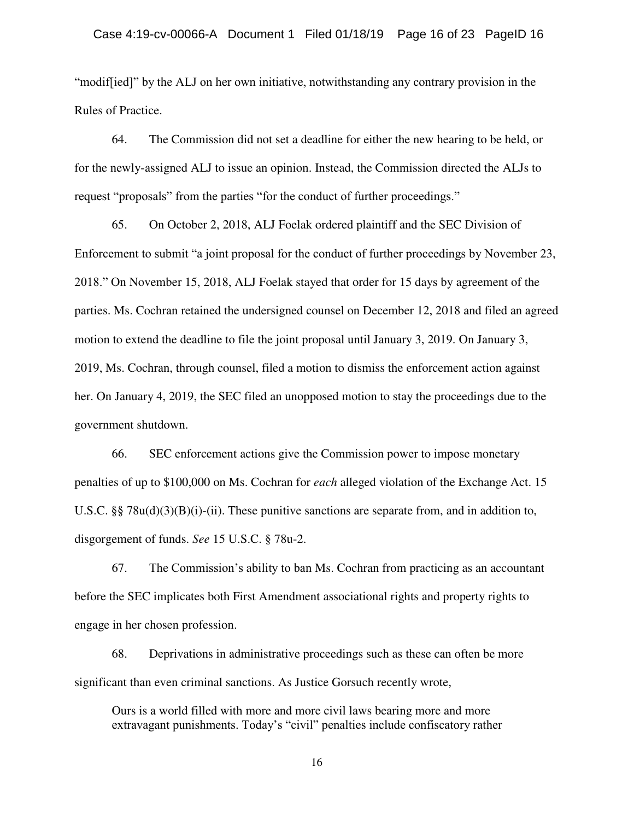"modif[ied]" by the ALJ on her own initiative, notwithstanding any contrary provision in the Rules of Practice.

64. The Commission did not set a deadline for either the new hearing to be held, or for the newly-assigned ALJ to issue an opinion. Instead, the Commission directed the ALJs to request "proposals" from the parties "for the conduct of further proceedings."

65. On October 2, 2018, ALJ Foelak ordered plaintiff and the SEC Division of Enforcement to submit "a joint proposal for the conduct of further proceedings by November 23, 2018." On November 15, 2018, ALJ Foelak stayed that order for 15 days by agreement of the parties. Ms. Cochran retained the undersigned counsel on December 12, 2018 and filed an agreed motion to extend the deadline to file the joint proposal until January 3, 2019. On January 3, 2019, Ms. Cochran, through counsel, filed a motion to dismiss the enforcement action against her. On January 4, 2019, the SEC filed an unopposed motion to stay the proceedings due to the government shutdown.

66. SEC enforcement actions give the Commission power to impose monetary penalties of up to \$100,000 on Ms. Cochran for *each* alleged violation of the Exchange Act. 15 U.S.C. §§  $78u(d)(3)(B)(i)-(ii)$ . These punitive sanctions are separate from, and in addition to, disgorgement of funds. *See* 15 U.S.C. § 78u-2.

67. The Commission's ability to ban Ms. Cochran from practicing as an accountant before the SEC implicates both First Amendment associational rights and property rights to engage in her chosen profession.

68. Deprivations in administrative proceedings such as these can often be more significant than even criminal sanctions. As Justice Gorsuch recently wrote,

Ours is a world filled with more and more civil laws bearing more and more extravagant punishments. Today's "civil" penalties include confiscatory rather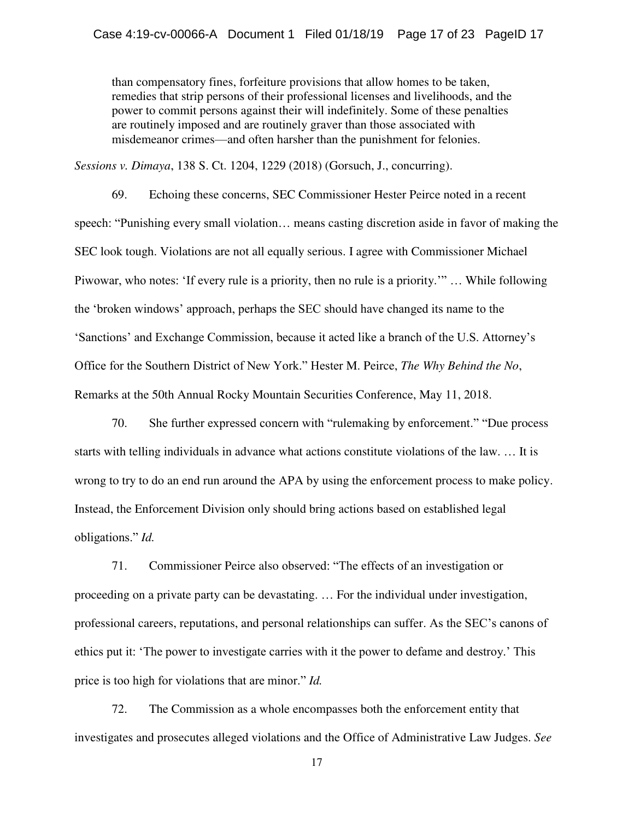than compensatory fines, forfeiture provisions that allow homes to be taken, remedies that strip persons of their professional licenses and livelihoods, and the power to commit persons against their will indefinitely. Some of these penalties are routinely imposed and are routinely graver than those associated with misdemeanor crimes—and often harsher than the punishment for felonies.

*Sessions v. Dimaya*, 138 S. Ct. 1204, 1229 (2018) (Gorsuch, J., concurring).

69. Echoing these concerns, SEC Commissioner Hester Peirce noted in a recent speech: "Punishing every small violation… means casting discretion aside in favor of making the SEC look tough. Violations are not all equally serious. I agree with Commissioner Michael Piwowar, who notes: 'If every rule is a priority, then no rule is a priority.'" … While following the 'broken windows' approach, perhaps the SEC should have changed its name to the 'Sanctions' and Exchange Commission, because it acted like a branch of the U.S. Attorney's Office for the Southern District of New York." Hester M. Peirce, *The Why Behind the No*, Remarks at the 50th Annual Rocky Mountain Securities Conference, May 11, 2018.

70. She further expressed concern with "rulemaking by enforcement." "Due process starts with telling individuals in advance what actions constitute violations of the law. … It is wrong to try to do an end run around the APA by using the enforcement process to make policy. Instead, the Enforcement Division only should bring actions based on established legal obligations." *Id.*

71. Commissioner Peirce also observed: "The effects of an investigation or proceeding on a private party can be devastating. … For the individual under investigation, professional careers, reputations, and personal relationships can suffer. As the SEC's canons of ethics put it: 'The power to investigate carries with it the power to defame and destroy.' This price is too high for violations that are minor." *Id.*

72. The Commission as a whole encompasses both the enforcement entity that investigates and prosecutes alleged violations and the Office of Administrative Law Judges. *See*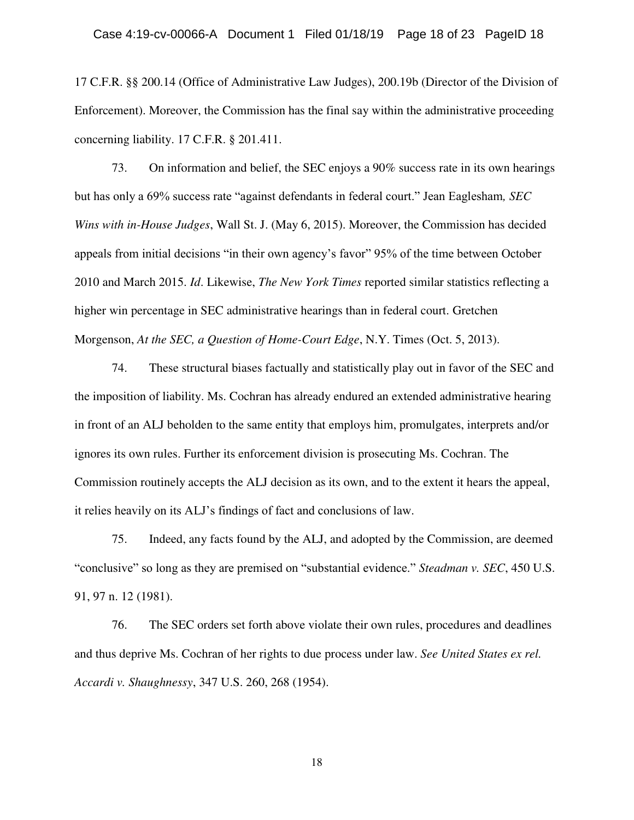17 C.F.R. §§ 200.14 (Office of Administrative Law Judges), 200.19b (Director of the Division of Enforcement). Moreover, the Commission has the final say within the administrative proceeding concerning liability. 17 C.F.R. § 201.411.

73. On information and belief, the SEC enjoys a 90% success rate in its own hearings but has only a 69% success rate "against defendants in federal court." Jean Eaglesham*, SEC Wins with in-House Judges*, Wall St. J. (May 6, 2015). Moreover, the Commission has decided appeals from initial decisions "in their own agency's favor" 95% of the time between October 2010 and March 2015. *Id*. Likewise, *The New York Times* reported similar statistics reflecting a higher win percentage in SEC administrative hearings than in federal court. Gretchen Morgenson, *At the SEC, a Question of Home-Court Edge*, N.Y. Times (Oct. 5, 2013).

74. These structural biases factually and statistically play out in favor of the SEC and the imposition of liability. Ms. Cochran has already endured an extended administrative hearing in front of an ALJ beholden to the same entity that employs him, promulgates, interprets and/or ignores its own rules. Further its enforcement division is prosecuting Ms. Cochran. The Commission routinely accepts the ALJ decision as its own, and to the extent it hears the appeal, it relies heavily on its ALJ's findings of fact and conclusions of law.

75. Indeed, any facts found by the ALJ, and adopted by the Commission, are deemed "conclusive" so long as they are premised on "substantial evidence." *Steadman v. SEC*, 450 U.S. 91, 97 n. 12 (1981).

76. The SEC orders set forth above violate their own rules, procedures and deadlines and thus deprive Ms. Cochran of her rights to due process under law. *See United States ex rel. Accardi v. Shaughnessy*, 347 U.S. 260, 268 (1954).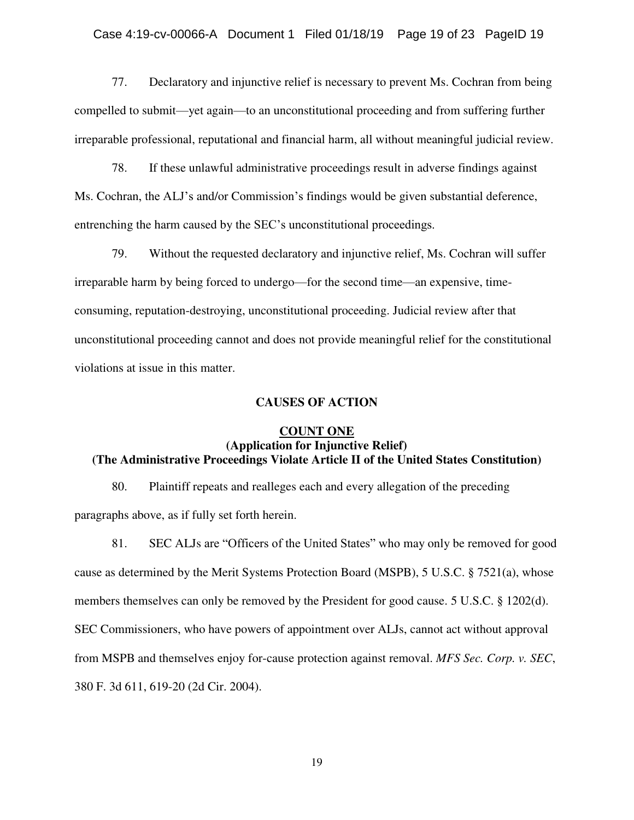## Case 4:19-cv-00066-A Document 1 Filed 01/18/19 Page 19 of 23 PageID 19

77. Declaratory and injunctive relief is necessary to prevent Ms. Cochran from being compelled to submit—yet again—to an unconstitutional proceeding and from suffering further irreparable professional, reputational and financial harm, all without meaningful judicial review.

78. If these unlawful administrative proceedings result in adverse findings against Ms. Cochran, the ALJ's and/or Commission's findings would be given substantial deference, entrenching the harm caused by the SEC's unconstitutional proceedings.

79. Without the requested declaratory and injunctive relief, Ms. Cochran will suffer irreparable harm by being forced to undergo—for the second time—an expensive, timeconsuming, reputation-destroying, unconstitutional proceeding. Judicial review after that unconstitutional proceeding cannot and does not provide meaningful relief for the constitutional violations at issue in this matter.

## **CAUSES OF ACTION**

## **COUNT ONE (Application for Injunctive Relief) (The Administrative Proceedings Violate Article II of the United States Constitution)**

80. Plaintiff repeats and realleges each and every allegation of the preceding paragraphs above, as if fully set forth herein.

81. SEC ALJs are "Officers of the United States" who may only be removed for good cause as determined by the Merit Systems Protection Board (MSPB), 5 U.S.C. § 7521(a), whose members themselves can only be removed by the President for good cause. 5 U.S.C. § 1202(d). SEC Commissioners, who have powers of appointment over ALJs, cannot act without approval from MSPB and themselves enjoy for-cause protection against removal. *MFS Sec. Corp. v. SEC*, 380 F. 3d 611, 619-20 (2d Cir. 2004).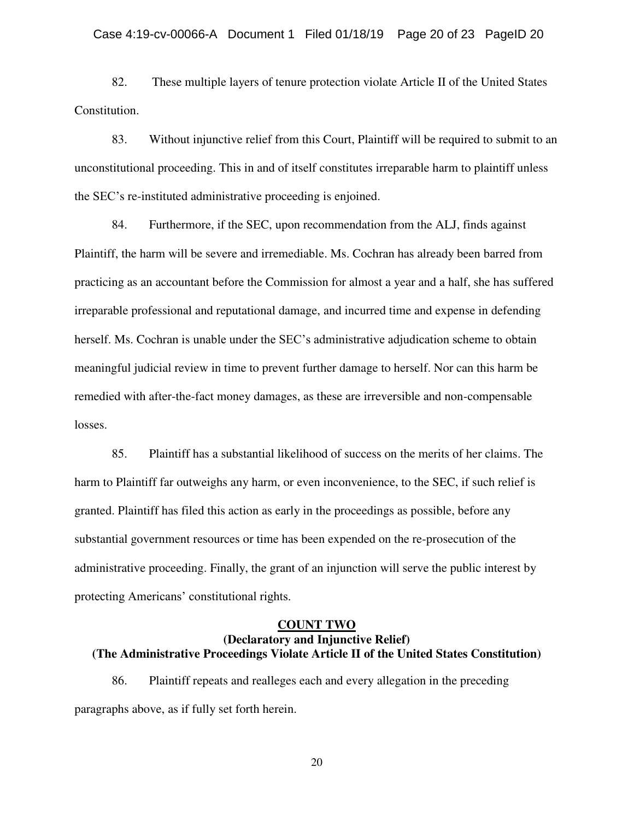### Case 4:19-cv-00066-A Document 1 Filed 01/18/19 Page 20 of 23 PageID 20

82. These multiple layers of tenure protection violate Article II of the United States Constitution.

83. Without injunctive relief from this Court, Plaintiff will be required to submit to an unconstitutional proceeding. This in and of itself constitutes irreparable harm to plaintiff unless the SEC's re-instituted administrative proceeding is enjoined.

84. Furthermore, if the SEC, upon recommendation from the ALJ, finds against Plaintiff, the harm will be severe and irremediable. Ms. Cochran has already been barred from practicing as an accountant before the Commission for almost a year and a half, she has suffered irreparable professional and reputational damage, and incurred time and expense in defending herself. Ms. Cochran is unable under the SEC's administrative adjudication scheme to obtain meaningful judicial review in time to prevent further damage to herself. Nor can this harm be remedied with after-the-fact money damages, as these are irreversible and non-compensable losses.

85. Plaintiff has a substantial likelihood of success on the merits of her claims. The harm to Plaintiff far outweighs any harm, or even inconvenience, to the SEC, if such relief is granted. Plaintiff has filed this action as early in the proceedings as possible, before any substantial government resources or time has been expended on the re-prosecution of the administrative proceeding. Finally, the grant of an injunction will serve the public interest by protecting Americans' constitutional rights.

# **COUNT TWO (Declaratory and Injunctive Relief) (The Administrative Proceedings Violate Article II of the United States Constitution)**

86. Plaintiff repeats and realleges each and every allegation in the preceding paragraphs above, as if fully set forth herein.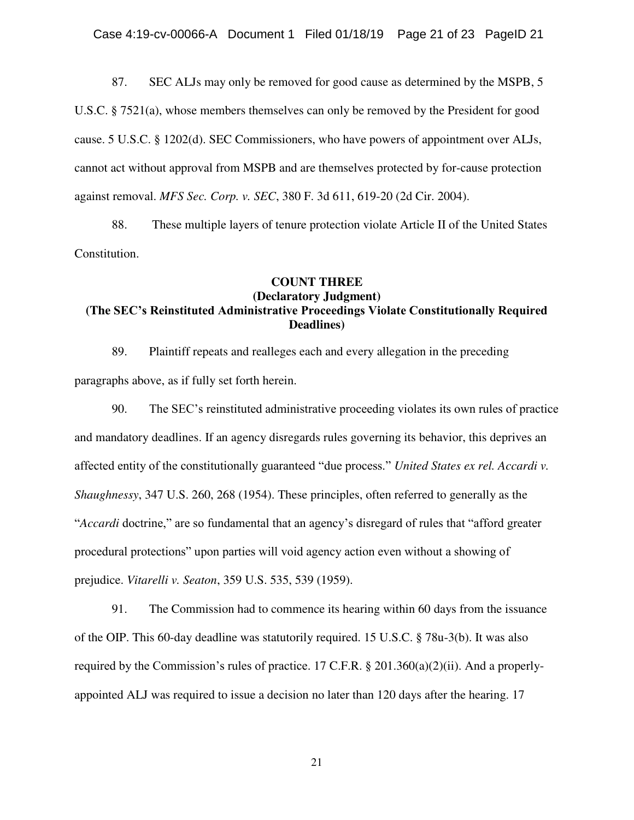87. SEC ALJs may only be removed for good cause as determined by the MSPB, 5 U.S.C. § 7521(a), whose members themselves can only be removed by the President for good cause. 5 U.S.C. § 1202(d). SEC Commissioners, who have powers of appointment over ALJs, cannot act without approval from MSPB and are themselves protected by for-cause protection against removal. *MFS Sec. Corp. v. SEC*, 380 F. 3d 611, 619-20 (2d Cir. 2004).

88. These multiple layers of tenure protection violate Article II of the United States Constitution.

## **COUNT THREE (Declaratory Judgment) (The SEC's Reinstituted Administrative Proceedings Violate Constitutionally Required Deadlines)**

89. Plaintiff repeats and realleges each and every allegation in the preceding paragraphs above, as if fully set forth herein.

90. The SEC's reinstituted administrative proceeding violates its own rules of practice and mandatory deadlines. If an agency disregards rules governing its behavior, this deprives an affected entity of the constitutionally guaranteed "due process." *United States ex rel. Accardi v. Shaughnessy*, 347 U.S. 260, 268 (1954). These principles, often referred to generally as the "*Accardi* doctrine," are so fundamental that an agency's disregard of rules that "afford greater procedural protections" upon parties will void agency action even without a showing of prejudice. *Vitarelli v. Seaton*, 359 U.S. 535, 539 (1959).

91. The Commission had to commence its hearing within 60 days from the issuance of the OIP. This 60-day deadline was statutorily required. 15 U.S.C. § 78u-3(b). It was also required by the Commission's rules of practice. 17 C.F.R. § 201.360(a)(2)(ii). And a properlyappointed ALJ was required to issue a decision no later than 120 days after the hearing. 17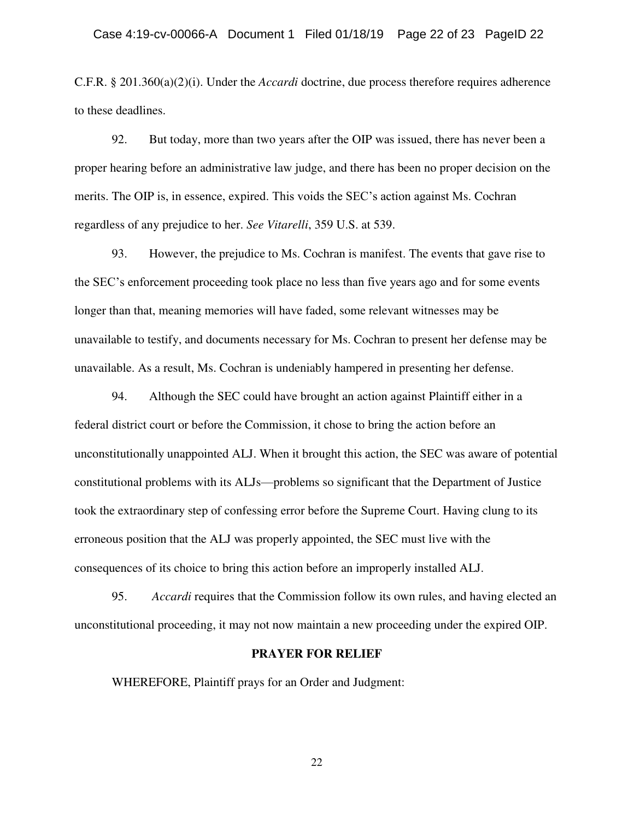C.F.R. § 201.360(a)(2)(i). Under the *Accardi* doctrine, due process therefore requires adherence to these deadlines.

92. But today, more than two years after the OIP was issued, there has never been a proper hearing before an administrative law judge, and there has been no proper decision on the merits. The OIP is, in essence, expired. This voids the SEC's action against Ms. Cochran regardless of any prejudice to her. *See Vitarelli*, 359 U.S. at 539.

93. However, the prejudice to Ms. Cochran is manifest. The events that gave rise to the SEC's enforcement proceeding took place no less than five years ago and for some events longer than that, meaning memories will have faded, some relevant witnesses may be unavailable to testify, and documents necessary for Ms. Cochran to present her defense may be unavailable. As a result, Ms. Cochran is undeniably hampered in presenting her defense.

94. Although the SEC could have brought an action against Plaintiff either in a federal district court or before the Commission, it chose to bring the action before an unconstitutionally unappointed ALJ. When it brought this action, the SEC was aware of potential constitutional problems with its ALJs—problems so significant that the Department of Justice took the extraordinary step of confessing error before the Supreme Court. Having clung to its erroneous position that the ALJ was properly appointed, the SEC must live with the consequences of its choice to bring this action before an improperly installed ALJ.

95. *Accardi* requires that the Commission follow its own rules, and having elected an unconstitutional proceeding, it may not now maintain a new proceeding under the expired OIP.

#### **PRAYER FOR RELIEF**

WHEREFORE, Plaintiff prays for an Order and Judgment: